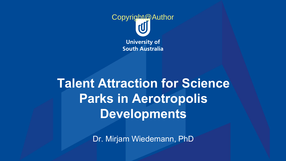

#### **Talent Attraction for Science Parks in Aerotropolis Developments**

Dr. Mirjam Wiedemann, PhD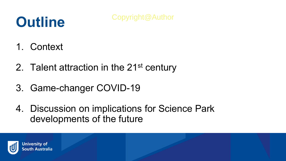## **Outline**

- 1. Context
- 2. Talent attraction in the 21<sup>st</sup> century
- 3. Game-changer COVID-19
- 4. Discussion on implications for Science Park developments of the future

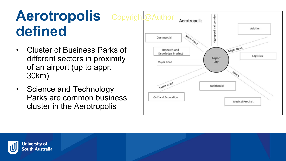### **Aerotropolis defined**

- Cluster of Business Parks of different sectors in proximity of an airport (up to appr. 30km)
- Science and Technology Parks are common business cluster in the Aerotropolis



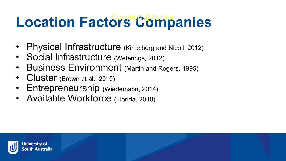# **Location Factors Companies**

- Physical Infrastructure (Kimelberg and Nicoll, 2012)
- Social Infrastructure (Weterings, 2012)
- **Business Environment** (Martin and Rogers, 1995)
- Cluster (Brown et al., 2010)
- Entrepreneurship (Wiedemann, 2014)
- Available Workforce (Florida, 2010)

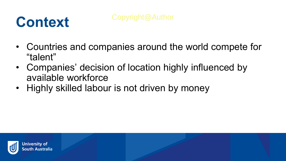### **Context**

- Countries and companies around the world compete for "talent"
- Companies' decision of location highly influenced by available workforce
- Highly skilled labour is not driven by money

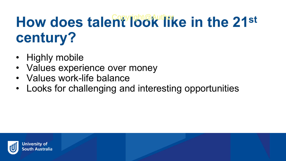# How does talent look like in the 21st **century?**

- Highly mobile
- Values experience over money
- Values work-life balance
- Looks for challenging and interesting opportunities

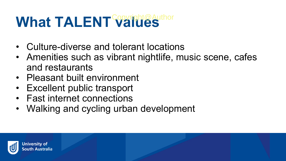# What TALENT Values

- Culture-diverse and tolerant locations
- Amenities such as vibrant nightlife, music scene, cafes and restaurants
- Pleasant built environment
- Excellent public transport
- Fast internet connections
- Walking and cycling urban development

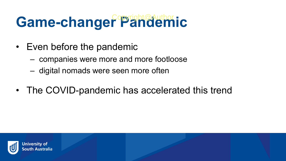# Game-changer<sup>epright@Author</sup>ic

- Even before the pandemic
	- companies were more and more footloose
	- digital nomads were seen more often
- The COVID-pandemic has accelerated this trend

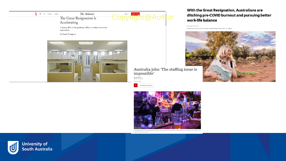

By James Norman

Posted Sat 30 Oct 2021 at 4:45am, updated Wed 3 Nov 2021 at 1:56pm



Australia jobs: 'The staffing issue is impossible'

By Phil Mercer<br>BBC News, Sydney (0.3 November

Coronavirus pandemic

кI



Overseas staff have underpinned Australia's hospitality sector for decades but the pandemic forced many bar workers and wait staff to return home

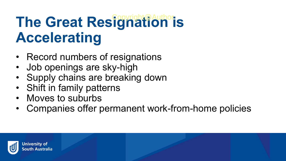# **The Great Resignation is Accelerating**

- Record numbers of resignations
- Job openings are sky-high
- Supply chains are breaking down
- Shift in family patterns
- Moves to suburbs
- Companies offer permanent work-from-home policies

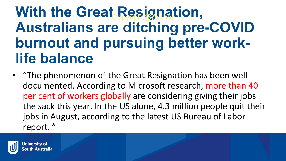• "The phenomenon of the Great Resignation has been well documented. According to Microsoft research, more than 40 per cent of workers globally are considering giving their jobs the sack this year. In the US alone, 4.3 million people quit their jobs in August, according to the latest US Bureau of Labor report. "

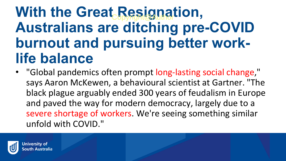• "Global pandemics often prompt long-lasting social change," says Aaron McKewen, a behavioural scientist at Gartner. "The black plague arguably ended 300 years of feudalism in Europe and paved the way for modern democracy, largely due to a severe shortage of workers. We're seeing something similar unfold with COVID."

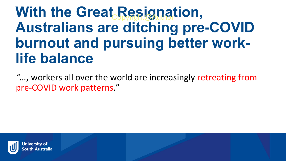*"…*, workers all over the world are increasingly retreating from pre-COVID work patterns."

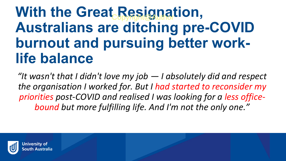*"It wasn't that I didn't love my job — I absolutely did and respect the organisation I worked for. But I had started to reconsider my priorities post-COVID and realised I was looking for a less officebound but more fulfilling life. And I'm not the only one."*

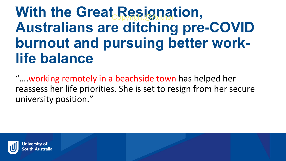"….working remotely in a beachside town has helped her reassess her life priorities. She is set to resign from her secure university position."

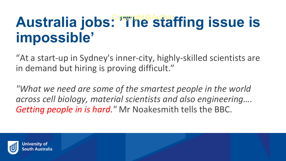# Australia jobs: <sup>Copyright@Author</sup>ffing issue is **impossible'**

"At a start-up in Sydney's inner-city, highly-skilled scientists are in demand but hiring is proving difficult."

*"What we need are some of the smartest people in the world across cell biology, material scientists and also engineering…. Getting people in is hard."* Mr Noakesmith tells the BBC.

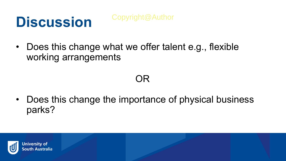### **Discussion**

Copyright@Author

• Does this change what we offer talent e.g., flexible working arrangements

#### OR

• Does this change the importance of physical business parks?

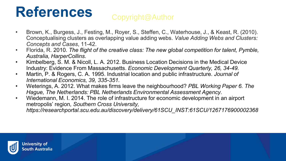### **References**

#### Copyright@Author

- Brown, K., Burgess, J., Festing, M., Royer, S., Steffen, C., Waterhouse, J., & Keast, R. (2010). Conceptualising clusters as overlapping value adding webs. *Value Adding Webs and Clusters: Concepts and Cases*, 11-42.
- Florida, R. 2010. *The flight of the creative class: The new global competition for talent, Pymble, Australia, HarperCollins.*
- Kimbelberg, S. M. & Nicoll, L. A. 2012. Business Location Decisions in the Medical Device Industry: Evidence From Massachusetts. *Economic Development Quarterly, 26, 34-49.*
- Martin, P. & Rogers, C. A. 1995. Industrial location and public infrastructure. *Journal of International Economics, 39, 335-351.*
- Weterings, A. 2012. What makes firms leave the neighbourhood? *PBL Working Paper 6. The Hague, The Netherlands: PBL Netherlands Environmental Assessment Agency.*
- Wiedemann, M. I. 2014. The role of infrastructure for economic development in an airport metropolis' region*, Southern Cross University,*

*https://researchportal.scu.edu.au/discovery/delivery/61SCU\_INST:61SCU/1267176900002368*